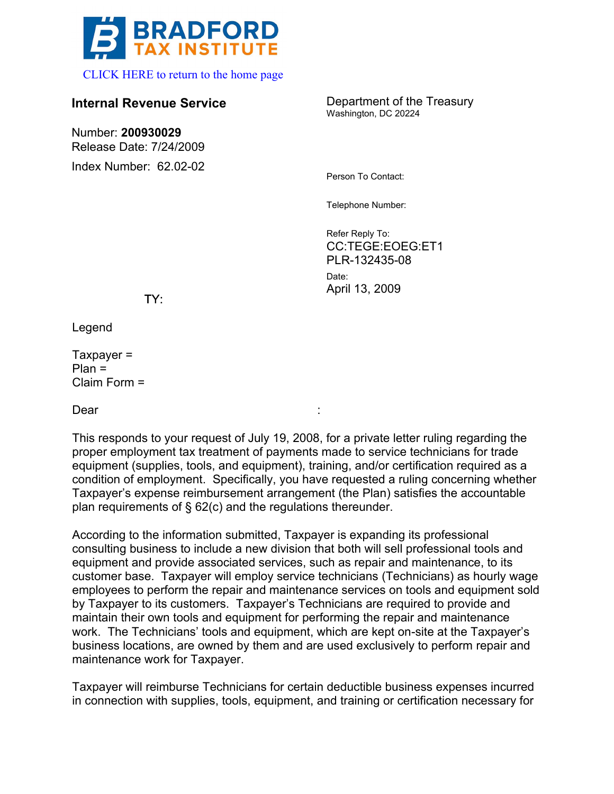

# **Internal Revenue Service**

Number: **200930029** Release Date: 7/24/2009 Index Number: 62.02-02

Department of the Treasury Washington, DC 20224

Person To Contact:

Telephone Number:

Refer Reply To: CC:TEGE:EOEG:ET1 PLR-132435-08 Date: April 13, 2009

TY:

Legend

 $Taxpayer =$  $Plan =$  $Claim Form =$ 

Dear ---- -------------------------------------------------:

This responds to your request of July 19, 2008, for a private letter ruling regarding the proper employment tax treatment of payments made to service technicians for trade equipment (supplies, tools, and equipment), training, and/or certification required as a condition of employment. Specifically, you have requested a ruling concerning whether Taxpayer's expense reimbursement arrangement (the Plan) satisfies the accountable plan requirements of § 62(c) and the regulations thereunder.

According to the information submitted, Taxpayer is expanding its professional consulting business to include a new division that both will sell professional tools and equipment and provide associated services, such as repair and maintenance, to its customer base. Taxpayer will employ service technicians (Technicians) as hourly wage employees to perform the repair and maintenance services on tools and equipment sold by Taxpayer to its customers. Taxpayer's Technicians are required to provide and maintain their own tools and equipment for performing the repair and maintenance work. The Technicians' tools and equipment, which are kept on-site at the Taxpayer's business locations, are owned by them and are used exclusively to perform repair and maintenance work for Taxpayer.

Taxpayer will reimburse Technicians for certain deductible business expenses incurred in connection with supplies, tools, equipment, and training or certification necessary for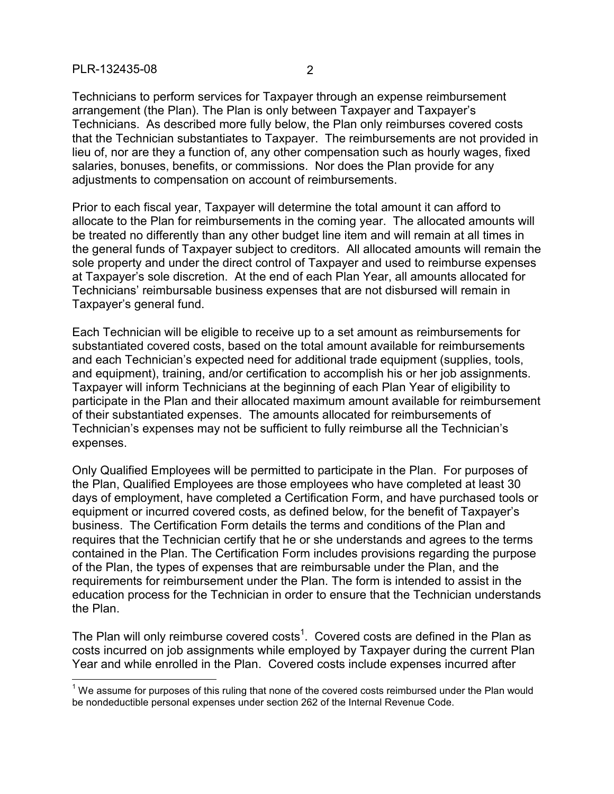Technicians to perform services for Taxpayer through an expense reimbursement arrangement (the Plan). The Plan is only between Taxpayer and Taxpayer's Technicians. As described more fully below, the Plan only reimburses covered costs that the Technician substantiates to Taxpayer. The reimbursements are not provided in lieu of, nor are they a function of, any other compensation such as hourly wages, fixed salaries, bonuses, benefits, or commissions. Nor does the Plan provide for any adjustments to compensation on account of reimbursements.

Prior to each fiscal year, Taxpayer will determine the total amount it can afford to allocate to the Plan for reimbursements in the coming year. The allocated amounts will be treated no differently than any other budget line item and will remain at all times in the general funds of Taxpayer subject to creditors. All allocated amounts will remain the sole property and under the direct control of Taxpayer and used to reimburse expenses at Taxpayer's sole discretion. At the end of each Plan Year, all amounts allocated for Technicians' reimbursable business expenses that are not disbursed will remain in Taxpayer's general fund.

Each Technician will be eligible to receive up to a set amount as reimbursements for substantiated covered costs, based on the total amount available for reimbursements and each Technician's expected need for additional trade equipment (supplies, tools, and equipment), training, and/or certification to accomplish his or her job assignments. Taxpayer will inform Technicians at the beginning of each Plan Year of eligibility to participate in the Plan and their allocated maximum amount available for reimbursement of their substantiated expenses. The amounts allocated for reimbursements of Technician's expenses may not be sufficient to fully reimburse all the Technician's expenses.

Only Qualified Employees will be permitted to participate in the Plan. For purposes of the Plan, Qualified Employees are those employees who have completed at least 30 days of employment, have completed a Certification Form, and have purchased tools or equipment or incurred covered costs, as defined below, for the benefit of Taxpayer's business. The Certification Form details the terms and conditions of the Plan and requires that the Technician certify that he or she understands and agrees to the terms contained in the Plan. The Certification Form includes provisions regarding the purpose of the Plan, the types of expenses that are reimbursable under the Plan, and the requirements for reimbursement under the Plan. The form is intended to assist in the education process for the Technician in order to ensure that the Technician understands the Plan.

The Plan will only reimburse covered costs<sup>1</sup>. Covered costs are defined in the Plan as costs incurred on job assignments while employed by Taxpayer during the current Plan Year and while enrolled in the Plan. Covered costs include expenses incurred after

 $1$  We assume for purposes of this ruling that none of the covered costs reimbursed under the Plan would be nondeductible personal expenses under section 262 of the Internal Revenue Code.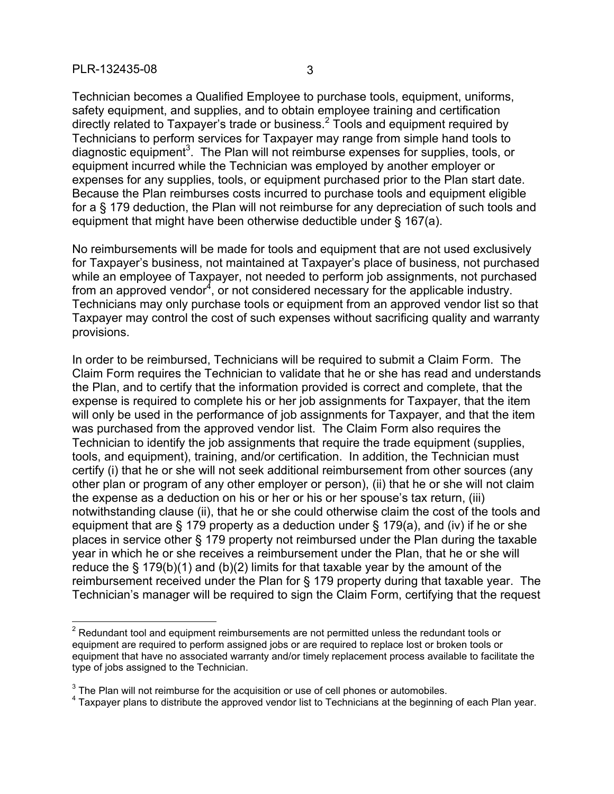Technician becomes a Qualified Employee to purchase tools, equipment, uniforms, safety equipment, and supplies, and to obtain employee training and certification directly related to Taxpayer's trade or business.<sup>2</sup> Tools and equipment required by Technicians to perform services for Taxpayer may range from simple hand tools to diagnostic equipment<sup>3</sup>. The Plan will not reimburse expenses for supplies, tools, or equipment incurred while the Technician was employed by another employer or expenses for any supplies, tools, or equipment purchased prior to the Plan start date. Because the Plan reimburses costs incurred to purchase tools and equipment eligible for a § 179 deduction, the Plan will not reimburse for any depreciation of such tools and equipment that might have been otherwise deductible under § 167(a).

No reimbursements will be made for tools and equipment that are not used exclusively for Taxpayer's business, not maintained at Taxpayer's place of business, not purchased while an employee of Taxpayer, not needed to perform job assignments, not purchased from an approved vendor<sup>4</sup>, or not considered necessary for the applicable industry. Technicians may only purchase tools or equipment from an approved vendor list so that Taxpayer may control the cost of such expenses without sacrificing quality and warranty provisions.

In order to be reimbursed, Technicians will be required to submit a Claim Form. The Claim Form requires the Technician to validate that he or she has read and understands the Plan, and to certify that the information provided is correct and complete, that the expense is required to complete his or her job assignments for Taxpayer, that the item will only be used in the performance of job assignments for Taxpayer, and that the item was purchased from the approved vendor list. The Claim Form also requires the Technician to identify the job assignments that require the trade equipment (supplies, tools, and equipment), training, and/or certification. In addition, the Technician must certify (i) that he or she will not seek additional reimbursement from other sources (any other plan or program of any other employer or person), (ii) that he or she will not claim the expense as a deduction on his or her or his or her spouse's tax return, (iii) notwithstanding clause (ii), that he or she could otherwise claim the cost of the tools and equipment that are § 179 property as a deduction under § 179(a), and (iv) if he or she places in service other § 179 property not reimbursed under the Plan during the taxable year in which he or she receives a reimbursement under the Plan, that he or she will reduce the  $\S$  179(b)(1) and (b)(2) limits for that taxable year by the amount of the reimbursement received under the Plan for § 179 property during that taxable year. The Technician's manager will be required to sign the Claim Form, certifying that the request

 $2$  Redundant tool and equipment reimbursements are not permitted unless the redundant tools or equipment are required to perform assigned jobs or are required to replace lost or broken tools or equipment that have no associated warranty and/or timely replacement process available to facilitate the type of jobs assigned to the Technician.

 $3$  The Plan will not reimburse for the acquisition or use of cell phones or automobiles.

 $4$  Taxpayer plans to distribute the approved vendor list to Technicians at the beginning of each Plan year.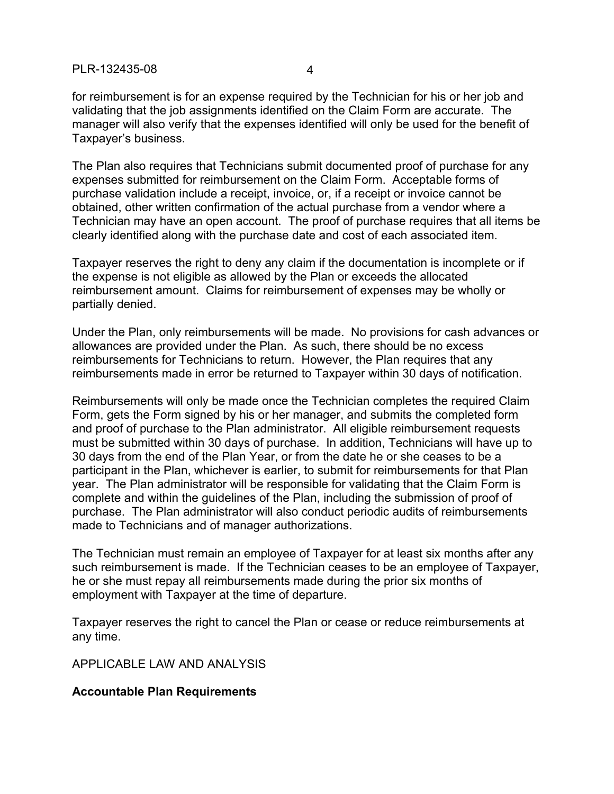for reimbursement is for an expense required by the Technician for his or her job and validating that the job assignments identified on the Claim Form are accurate. The manager will also verify that the expenses identified will only be used for the benefit of Taxpayer's business.

The Plan also requires that Technicians submit documented proof of purchase for any expenses submitted for reimbursement on the Claim Form. Acceptable forms of purchase validation include a receipt, invoice, or, if a receipt or invoice cannot be obtained, other written confirmation of the actual purchase from a vendor where a Technician may have an open account. The proof of purchase requires that all items be clearly identified along with the purchase date and cost of each associated item.

Taxpayer reserves the right to deny any claim if the documentation is incomplete or if the expense is not eligible as allowed by the Plan or exceeds the allocated reimbursement amount. Claims for reimbursement of expenses may be wholly or partially denied.

Under the Plan, only reimbursements will be made. No provisions for cash advances or allowances are provided under the Plan. As such, there should be no excess reimbursements for Technicians to return. However, the Plan requires that any reimbursements made in error be returned to Taxpayer within 30 days of notification.

Reimbursements will only be made once the Technician completes the required Claim Form, gets the Form signed by his or her manager, and submits the completed form and proof of purchase to the Plan administrator. All eligible reimbursement requests must be submitted within 30 days of purchase. In addition, Technicians will have up to 30 days from the end of the Plan Year, or from the date he or she ceases to be a participant in the Plan, whichever is earlier, to submit for reimbursements for that Plan year. The Plan administrator will be responsible for validating that the Claim Form is complete and within the guidelines of the Plan, including the submission of proof of purchase. The Plan administrator will also conduct periodic audits of reimbursements made to Technicians and of manager authorizations.

The Technician must remain an employee of Taxpayer for at least six months after any such reimbursement is made. If the Technician ceases to be an employee of Taxpayer, he or she must repay all reimbursements made during the prior six months of employment with Taxpayer at the time of departure.

Taxpayer reserves the right to cancel the Plan or cease or reduce reimbursements at any time.

APPLICABLE LAW AND ANALYSIS

### **Accountable Plan Requirements**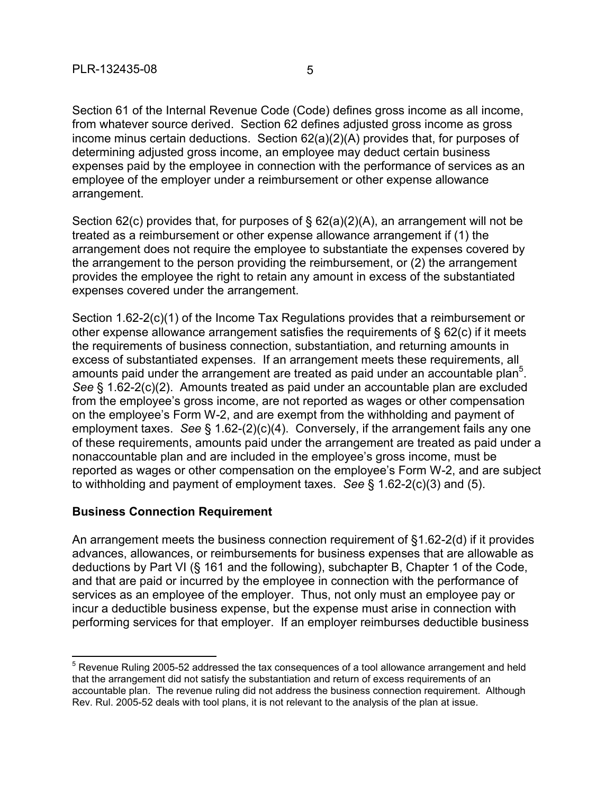Section 61 of the Internal Revenue Code (Code) defines gross income as all income, from whatever source derived. Section 62 defines adjusted gross income as gross income minus certain deductions. Section 62(a)(2)(A) provides that, for purposes of determining adjusted gross income, an employee may deduct certain business expenses paid by the employee in connection with the performance of services as an employee of the employer under a reimbursement or other expense allowance arrangement.

Section 62(c) provides that, for purposes of § 62(a)(2)(A), an arrangement will not be treated as a reimbursement or other expense allowance arrangement if (1) the arrangement does not require the employee to substantiate the expenses covered by the arrangement to the person providing the reimbursement, or (2) the arrangement provides the employee the right to retain any amount in excess of the substantiated expenses covered under the arrangement.

Section 1.62-2(c)(1) of the Income Tax Regulations provides that a reimbursement or other expense allowance arrangement satisfies the requirements of § 62(c) if it meets the requirements of business connection, substantiation, and returning amounts in excess of substantiated expenses. If an arrangement meets these requirements, all amounts paid under the arrangement are treated as paid under an accountable plan<sup>5</sup>. *See* § 1.62-2(c)(2). Amounts treated as paid under an accountable plan are excluded from the employee's gross income, are not reported as wages or other compensation on the employee's Form W-2, and are exempt from the withholding and payment of employment taxes. *See* § 1.62-(2)(c)(4). Conversely, if the arrangement fails any one of these requirements, amounts paid under the arrangement are treated as paid under a nonaccountable plan and are included in the employee's gross income, must be reported as wages or other compensation on the employee's Form W-2, and are subject to withholding and payment of employment taxes. *See* § 1.62-2(c)(3) and (5).

## **Business Connection Requirement**

An arrangement meets the business connection requirement of §1.62-2(d) if it provides advances, allowances, or reimbursements for business expenses that are allowable as deductions by Part VI (§ 161 and the following), subchapter B, Chapter 1 of the Code, and that are paid or incurred by the employee in connection with the performance of services as an employee of the employer. Thus, not only must an employee pay or incur a deductible business expense, but the expense must arise in connection with performing services for that employer. If an employer reimburses deductible business

<sup>5</sup> Revenue Ruling 2005-52 addressed the tax consequences of a tool allowance arrangement and held that the arrangement did not satisfy the substantiation and return of excess requirements of an accountable plan. The revenue ruling did not address the business connection requirement. Although Rev. Rul. 2005-52 deals with tool plans, it is not relevant to the analysis of the plan at issue.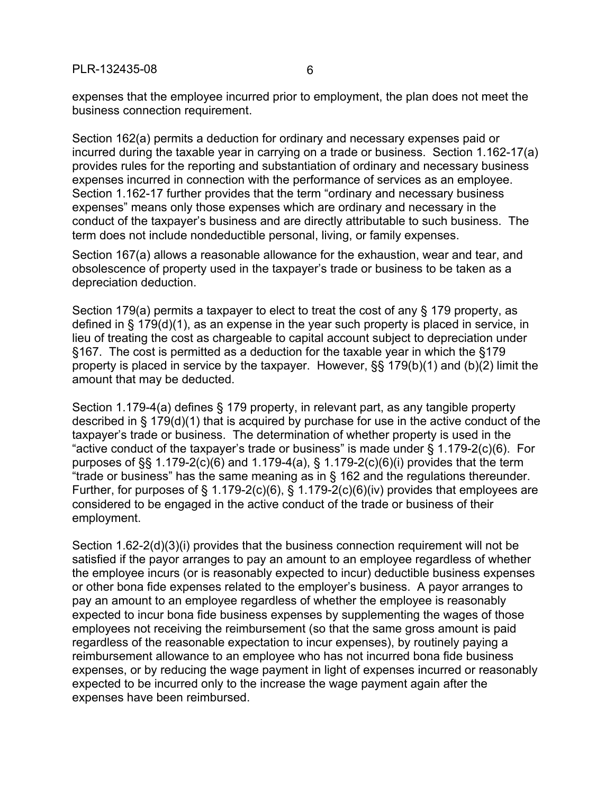expenses that the employee incurred prior to employment, the plan does not meet the business connection requirement.

Section 162(a) permits a deduction for ordinary and necessary expenses paid or incurred during the taxable year in carrying on a trade or business. Section 1.162-17(a) provides rules for the reporting and substantiation of ordinary and necessary business expenses incurred in connection with the performance of services as an employee. Section 1.162-17 further provides that the term "ordinary and necessary business expenses" means only those expenses which are ordinary and necessary in the conduct of the taxpayer's business and are directly attributable to such business. The term does not include nondeductible personal, living, or family expenses.

Section 167(a) allows a reasonable allowance for the exhaustion, wear and tear, and obsolescence of property used in the taxpayer's trade or business to be taken as a depreciation deduction.

Section 179(a) permits a taxpayer to elect to treat the cost of any § 179 property, as defined in § 179(d)(1), as an expense in the year such property is placed in service, in lieu of treating the cost as chargeable to capital account subject to depreciation under §167. The cost is permitted as a deduction for the taxable year in which the §179 property is placed in service by the taxpayer. However, §§ 179(b)(1) and (b)(2) limit the amount that may be deducted.

Section 1.179-4(a) defines § 179 property, in relevant part, as any tangible property described in § 179(d)(1) that is acquired by purchase for use in the active conduct of the taxpayer's trade or business. The determination of whether property is used in the "active conduct of the taxpayer's trade or business" is made under § 1.179-2(c)(6). For purposes of §§ 1.179-2(c)(6) and 1.179-4(a), § 1.179-2(c)(6)(i) provides that the term "trade or business" has the same meaning as in § 162 and the regulations thereunder. Further, for purposes of  $\S$  1.179-2(c)(6),  $\S$  1.179-2(c)(6)(iv) provides that employees are considered to be engaged in the active conduct of the trade or business of their employment.

Section 1.62-2(d)(3)(i) provides that the business connection requirement will not be satisfied if the payor arranges to pay an amount to an employee regardless of whether the employee incurs (or is reasonably expected to incur) deductible business expenses or other bona fide expenses related to the employer's business. A payor arranges to pay an amount to an employee regardless of whether the employee is reasonably expected to incur bona fide business expenses by supplementing the wages of those employees not receiving the reimbursement (so that the same gross amount is paid regardless of the reasonable expectation to incur expenses), by routinely paying a reimbursement allowance to an employee who has not incurred bona fide business expenses, or by reducing the wage payment in light of expenses incurred or reasonably expected to be incurred only to the increase the wage payment again after the expenses have been reimbursed.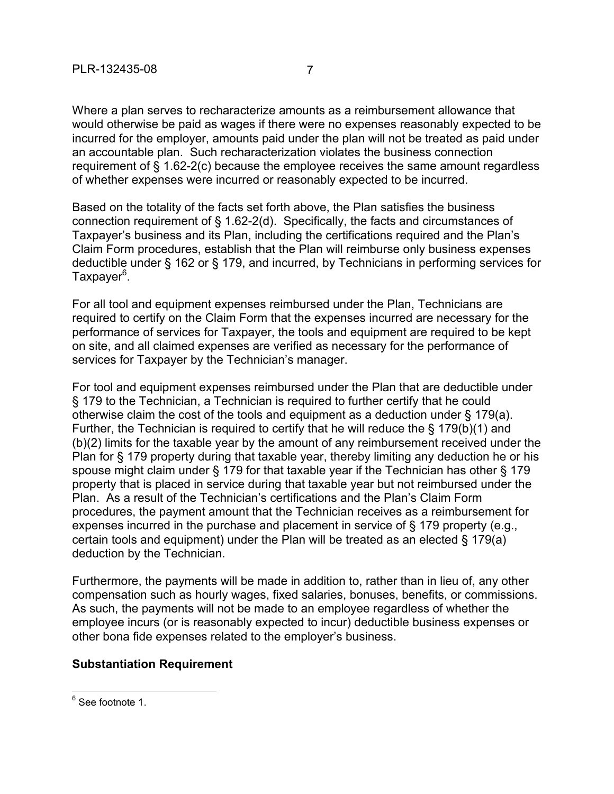Where a plan serves to recharacterize amounts as a reimbursement allowance that would otherwise be paid as wages if there were no expenses reasonably expected to be incurred for the employer, amounts paid under the plan will not be treated as paid under an accountable plan. Such recharacterization violates the business connection requirement of § 1.62-2(c) because the employee receives the same amount regardless of whether expenses were incurred or reasonably expected to be incurred.

Based on the totality of the facts set forth above, the Plan satisfies the business connection requirement of § 1.62-2(d). Specifically, the facts and circumstances of Taxpayer's business and its Plan, including the certifications required and the Plan's Claim Form procedures, establish that the Plan will reimburse only business expenses deductible under § 162 or § 179, and incurred, by Technicians in performing services for Taxpayer<sup>6</sup>.

For all tool and equipment expenses reimbursed under the Plan, Technicians are required to certify on the Claim Form that the expenses incurred are necessary for the performance of services for Taxpayer, the tools and equipment are required to be kept on site, and all claimed expenses are verified as necessary for the performance of services for Taxpayer by the Technician's manager.

For tool and equipment expenses reimbursed under the Plan that are deductible under § 179 to the Technician, a Technician is required to further certify that he could otherwise claim the cost of the tools and equipment as a deduction under § 179(a). Further, the Technician is required to certify that he will reduce the § 179(b)(1) and (b)(2) limits for the taxable year by the amount of any reimbursement received under the Plan for § 179 property during that taxable year, thereby limiting any deduction he or his spouse might claim under § 179 for that taxable year if the Technician has other § 179 property that is placed in service during that taxable year but not reimbursed under the Plan. As a result of the Technician's certifications and the Plan's Claim Form procedures, the payment amount that the Technician receives as a reimbursement for expenses incurred in the purchase and placement in service of § 179 property (e.g., certain tools and equipment) under the Plan will be treated as an elected § 179(a) deduction by the Technician.

Furthermore, the payments will be made in addition to, rather than in lieu of, any other compensation such as hourly wages, fixed salaries, bonuses, benefits, or commissions. As such, the payments will not be made to an employee regardless of whether the employee incurs (or is reasonably expected to incur) deductible business expenses or other bona fide expenses related to the employer's business.

## **Substantiation Requirement**

<sup>&</sup>lt;sup>6</sup> See footnote 1.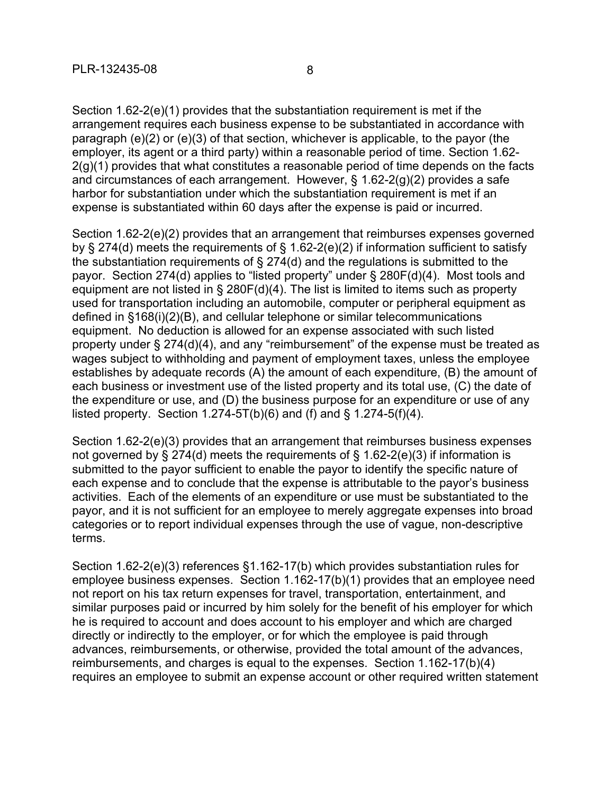Section 1.62-2(e)(1) provides that the substantiation requirement is met if the arrangement requires each business expense to be substantiated in accordance with paragraph (e)(2) or (e)(3) of that section, whichever is applicable, to the payor (the employer, its agent or a third party) within a reasonable period of time. Section 1.62-  $2(q)(1)$  provides that what constitutes a reasonable period of time depends on the facts and circumstances of each arrangement. However, § 1.62-2(g)(2) provides a safe harbor for substantiation under which the substantiation requirement is met if an expense is substantiated within 60 days after the expense is paid or incurred.

Section 1.62-2(e)(2) provides that an arrangement that reimburses expenses governed by § 274(d) meets the requirements of § 1.62-2(e)(2) if information sufficient to satisfy the substantiation requirements of § 274(d) and the regulations is submitted to the payor. Section 274(d) applies to "listed property" under § 280F(d)(4). Most tools and equipment are not listed in  $\S$  280F(d)(4). The list is limited to items such as property used for transportation including an automobile, computer or peripheral equipment as defined in §168(i)(2)(B), and cellular telephone or similar telecommunications equipment. No deduction is allowed for an expense associated with such listed property under § 274(d)(4), and any "reimbursement" of the expense must be treated as wages subject to withholding and payment of employment taxes, unless the employee establishes by adequate records (A) the amount of each expenditure, (B) the amount of each business or investment use of the listed property and its total use, (C) the date of the expenditure or use, and (D) the business purpose for an expenditure or use of any listed property. Section 1.274-5T(b)(6) and (f) and  $\S$  1.274-5(f)(4).

Section 1.62-2(e)(3) provides that an arrangement that reimburses business expenses not governed by § 274(d) meets the requirements of § 1.62-2(e)(3) if information is submitted to the payor sufficient to enable the payor to identify the specific nature of each expense and to conclude that the expense is attributable to the payor's business activities. Each of the elements of an expenditure or use must be substantiated to the payor, and it is not sufficient for an employee to merely aggregate expenses into broad categories or to report individual expenses through the use of vague, non-descriptive terms.

Section 1.62-2(e)(3) references §1.162-17(b) which provides substantiation rules for employee business expenses. Section 1.162-17(b)(1) provides that an employee need not report on his tax return expenses for travel, transportation, entertainment, and similar purposes paid or incurred by him solely for the benefit of his employer for which he is required to account and does account to his employer and which are charged directly or indirectly to the employer, or for which the employee is paid through advances, reimbursements, or otherwise, provided the total amount of the advances, reimbursements, and charges is equal to the expenses. Section 1.162-17(b)(4) requires an employee to submit an expense account or other required written statement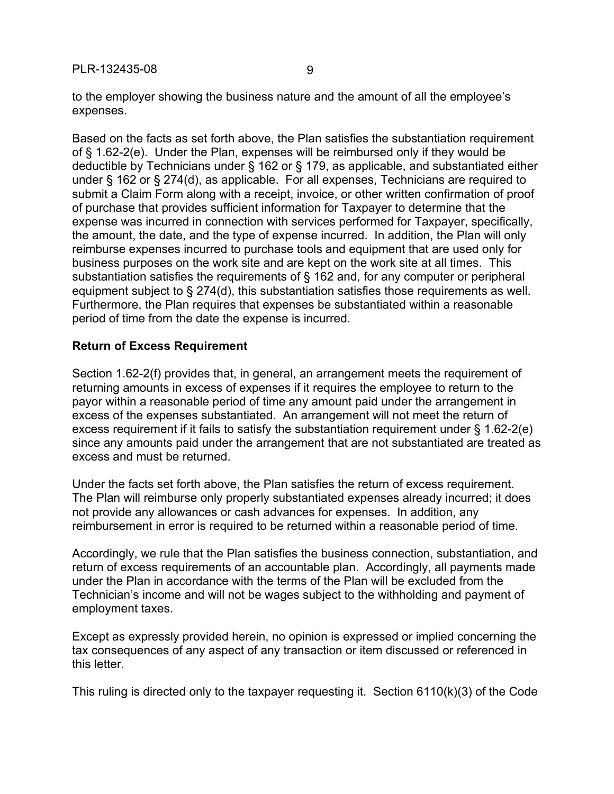PLR-132435-08 9

to the employer showing the business nature and the amount of all the employee's expenses.

Based on the facts as set forth above, the Plan satisfies the substantiation requirement of § 1.62-2(e). Under the Plan, expenses will be reimbursed only if they would be deductible by Technicians under § 162 or § 179, as applicable, and substantiated either under § 162 or § 274(d), as applicable. For all expenses, Technicians are required to submit a Claim Form along with a receipt, invoice, or other written confirmation of proof of purchase that provides sufficient information for Taxpayer to determine that the expense was incurred in connection with services performed for Taxpayer, specifically, the amount, the date, and the type of expense incurred. In addition, the Plan will only reimburse expenses incurred to purchase tools and equipment that are used only for business purposes on the work site and are kept on the work site at all times. This substantiation satisfies the requirements of § 162 and, for any computer or peripheral equipment subject to § 274(d), this substantiation satisfies those requirements as well. Furthermore, the Plan requires that expenses be substantiated within a reasonable period of time from the date the expense is incurred.

## **Return of Excess Requirement**

Section 1.62-2(f) provides that, in general, an arrangement meets the requirement of returning amounts in excess of expenses if it requires the employee to return to the payor within a reasonable period of time any amount paid under the arrangement in excess of the expenses substantiated. An arrangement will not meet the return of excess requirement if it fails to satisfy the substantiation requirement under § 1.62-2(e) since any amounts paid under the arrangement that are not substantiated are treated as excess and must be returned.

Under the facts set forth above, the Plan satisfies the return of excess requirement. The Plan will reimburse only properly substantiated expenses already incurred; it does not provide any allowances or cash advances for expenses. In addition, any reimbursement in error is required to be returned within a reasonable period of time.

Accordingly, we rule that the Plan satisfies the business connection, substantiation, and return of excess requirements of an accountable plan. Accordingly, all payments made under the Plan in accordance with the terms of the Plan will be excluded from the Technician's income and will not be wages subject to the withholding and payment of employment taxes.

Except as expressly provided herein, no opinion is expressed or implied concerning the tax consequences of any aspect of any transaction or item discussed or referenced in this letter.

This ruling is directed only to the taxpayer requesting it. Section 6110(k)(3) of the Code